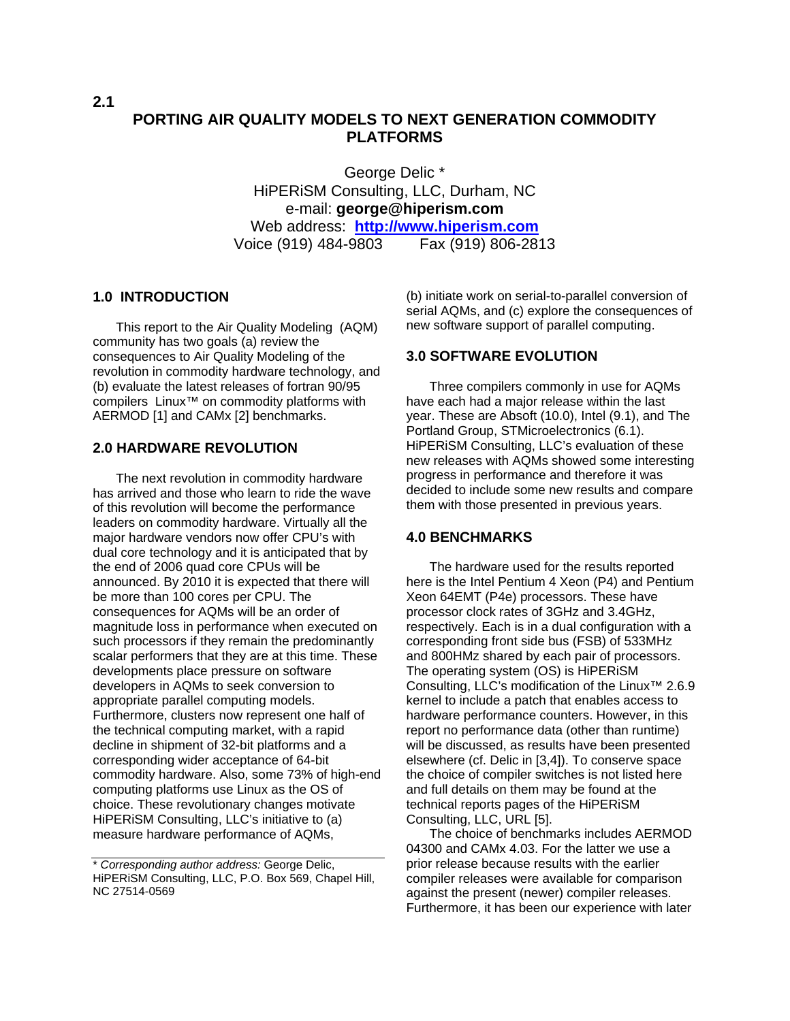**2.1** 

# **PORTING AIR QUALITY MODELS TO NEXT GENERATION COMMODITY PLATFORMS**

George Delic \* HiPERiSM Consulting, LLC, Durham, NC e-mail: **george@hiperism.com** Web address: **[http://www.hiperism.com](http://www.hiperism.com/)** Voice (919) 484-9803 Fax (919) 806-2813

#### **1.0 INTRODUCTION**

This report to the Air Quality Modeling (AQM) community has two goals (a) review the consequences to Air Quality Modeling of the revolution in commodity hardware technology, and (b) evaluate the latest releases of fortran 90/95 compilers Linux™ on commodity platforms with AERMOD [1] and CAMx [2] benchmarks.

#### **2.0 HARDWARE REVOLUTION**

The next revolution in commodity hardware has arrived and those who learn to ride the wave of this revolution will become the performance leaders on commodity hardware. Virtually all the major hardware vendors now offer CPU's with dual core technology and it is anticipated that by the end of 2006 quad core CPUs will be announced. By 2010 it is expected that there will be more than 100 cores per CPU. The consequences for AQMs will be an order of magnitude loss in performance when executed on such processors if they remain the predominantly scalar performers that they are at this time. These developments place pressure on software developers in AQMs to seek conversion to appropriate parallel computing models. Furthermore, clusters now represent one half of the technical computing market, with a rapid decline in shipment of 32-bit platforms and a corresponding wider acceptance of 64-bit commodity hardware. Also, some 73% of high-end computing platforms use Linux as the OS of choice. These revolutionary changes motivate HiPERiSM Consulting, LLC's initiative to (a) measure hardware performance of AQMs,

(b) initiate work on serial-to-parallel conversion of serial AQMs, and (c) explore the consequences of new software support of parallel computing.

#### **3.0 SOFTWARE EVOLUTION**

Three compilers commonly in use for AQMs have each had a major release within the last year. These are Absoft (10.0), Intel (9.1), and The Portland Group, STMicroelectronics (6.1). HiPERiSM Consulting, LLC's evaluation of these new releases with AQMs showed some interesting progress in performance and therefore it was decided to include some new results and compare them with those presented in previous years.

#### **4.0 BENCHMARKS**

The hardware used for the results reported here is the Intel Pentium 4 Xeon (P4) and Pentium Xeon 64EMT (P4e) processors. These have processor clock rates of 3GHz and 3.4GHz, respectively. Each is in a dual configuration with a corresponding front side bus (FSB) of 533MHz and 800HMz shared by each pair of processors. The operating system (OS) is HiPERiSM Consulting, LLC's modification of the Linux™ 2.6.9 kernel to include a patch that enables access to hardware performance counters. However, in this report no performance data (other than runtime) will be discussed, as results have been presented elsewhere (cf. Delic in [3,4]). To conserve space the choice of compiler switches is not listed here and full details on them may be found at the technical reports pages of the HiPERiSM Consulting, LLC, URL [5].

The choice of benchmarks includes AERMOD 04300 and CAMx 4.03. For the latter we use a prior release because results with the earlier compiler releases were available for comparison against the present (newer) compiler releases. Furthermore, it has been our experience with later

<sup>\*</sup> *Corresponding author address:* George Delic, HiPERiSM Consulting, LLC, P.O. Box 569, Chapel Hill, NC 27514-0569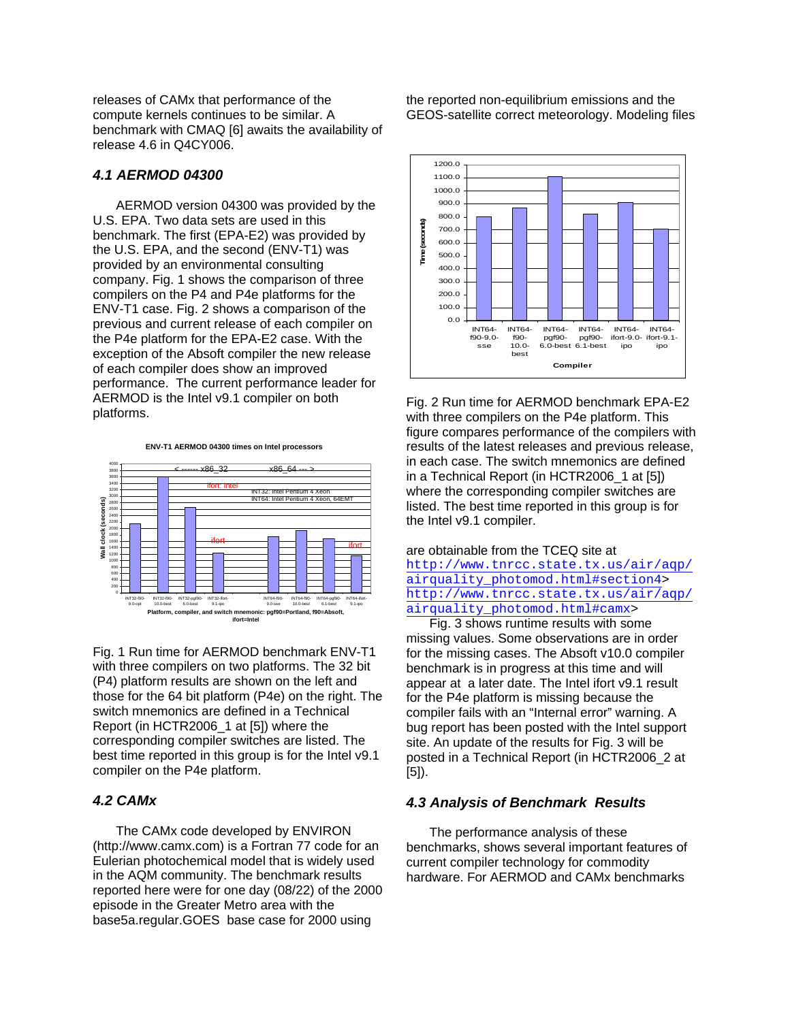releases of CAMx that performance of the compute kernels continues to be similar. A benchmark with CMAQ [6] awaits the availability of release 4.6 in Q4CY006.

#### *4.1 AERMOD 04300*

AERMOD version 04300 was provided by the U.S. EPA. Two data sets are used in this benchmark. The first (EPA-E2) was provided by the U.S. EPA, and the second (ENV-T1) was provided by an environmental consulting company. Fig. 1 shows the comparison of three compilers on the P4 and P4e platforms for the ENV-T1 case. Fig. 2 shows a comparison of the previous and current release of each compiler on the P4e platform for the EPA-E2 case. With the exception of the Absoft compiler the new release of each compiler does show an improved performance. The current performance leader for AERMOD is the Intel v9.1 compiler on both platforms.

**ENV-T1 AERMOD 04300 times on Intel processors**



Fig. 1 Run time for AERMOD benchmark ENV-T1 with three compilers on two platforms. The 32 bit (P4) platform results are shown on the left and those for the 64 bit platform (P4e) on the right. The switch mnemonics are defined in a Technical Report (in HCTR2006\_1 at [5]) where the corresponding compiler switches are listed. The best time reported in this group is for the Intel v9.1 compiler on the P4e platform.

## *4.2 CAMx*

The CAMx code developed by ENVIRON (http://www.camx.com) is a Fortran 77 code for an Eulerian photochemical model that is widely used in the AQM community. The benchmark results reported here were for one day (08/22) of the 2000 episode in the Greater Metro area with the base5a.regular.GOES base case for 2000 using

the reported non-equilibrium emissions and the GEOS-satellite correct meteorology. Modeling files



Fig. 2 Run time for AERMOD benchmark EPA-E2 with three compilers on the P4e platform. This figure compares performance of the compilers with results of the latest releases and previous release, in each case. The switch mnemonics are defined in a Technical Report (in HCTR2006\_1 at [5]) where the corresponding compiler switches are listed. The best time reported in this group is for the Intel v9.1 compiler.

#### are obtainable from the TCEQ site at [http://www.tnrcc.state.tx.us/air/aqp/](http://www.tnrcc.state.tx.us/air/aqp/airquality_photomod.html#section4) [airquality\\_photomod.html#section4>](http://www.tnrcc.state.tx.us/air/aqp/airquality_photomod.html#section4) [http://www.tnrcc.state.tx.us/air/aqp/](http://www.tnrcc.state.tx.us/air/aqp/airquality_photomod.html#camx) [airquality\\_photomod.html#camx](http://www.tnrcc.state.tx.us/air/aqp/airquality_photomod.html#camx)>

Fig. 3 shows runtime results with some missing values. Some observations are in order for the missing cases. The Absoft v10.0 compiler benchmark is in progress at this time and will appear at a later date. The Intel ifort v9.1 result for the P4e platform is missing because the compiler fails with an "Internal error" warning. A bug report has been posted with the Intel support site. An update of the results for Fig. 3 will be posted in a Technical Report (in HCTR2006\_2 at [5]).

## *4.3 Analysis of Benchmark Results*

The performance analysis of these benchmarks, shows several important features of current compiler technology for commodity hardware. For AERMOD and CAMx benchmarks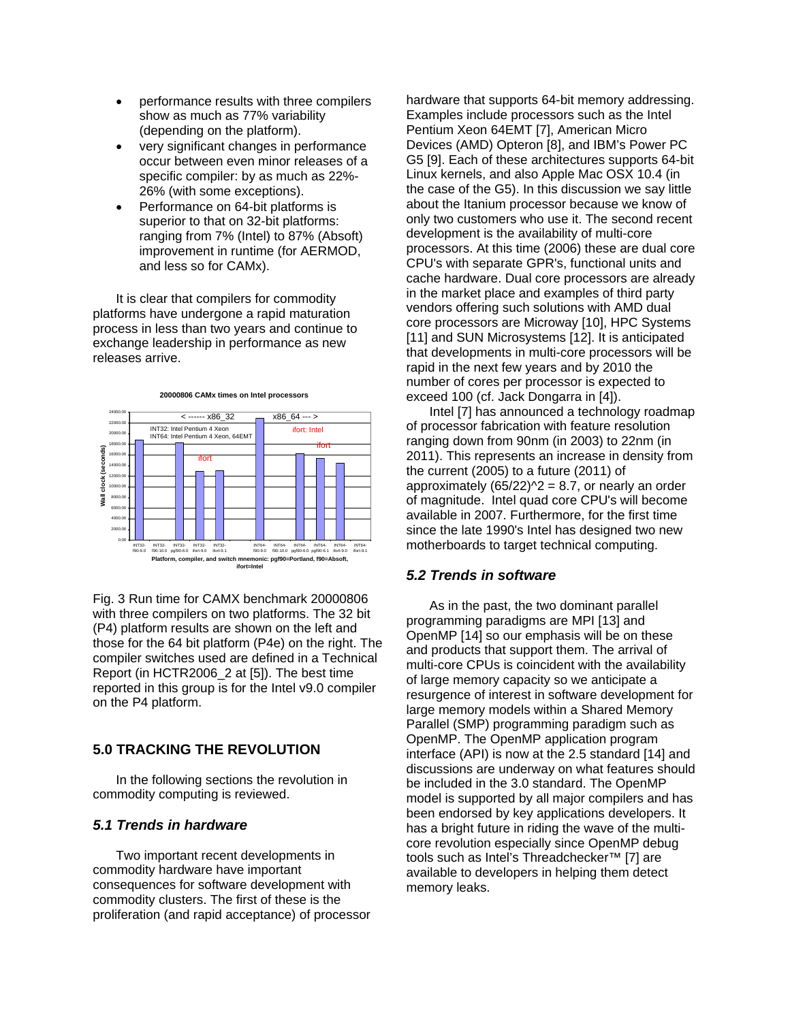- performance results with three compilers show as much as 77% variability (depending on the platform).
- very significant changes in performance occur between even minor releases of a specific compiler: by as much as 22%- 26% (with some exceptions).
- Performance on 64-bit platforms is superior to that on 32-bit platforms: ranging from 7% (Intel) to 87% (Absoft) improvement in runtime (for AERMOD, and less so for CAMx).

It is clear that compilers for commodity platforms have undergone a rapid maturation process in less than two years and continue to exchange leadership in performance as new releases arrive.



Fig. 3 Run time for CAMX benchmark 20000806 with three compilers on two platforms. The 32 bit (P4) platform results are shown on the left and those for the 64 bit platform (P4e) on the right. The compiler switches used are defined in a Technical Report (in HCTR2006\_2 at [5]). The best time reported in this group is for the Intel v9.0 compiler on the P4 platform.

## **5.0 TRACKING THE REVOLUTION**

In the following sections the revolution in commodity computing is reviewed.

#### *5.1 Trends in hardware*

Two important recent developments in commodity hardware have important consequences for software development with commodity clusters. The first of these is the proliferation (and rapid acceptance) of processor hardware that supports 64-bit memory addressing. Examples include processors such as the Intel Pentium Xeon 64EMT [7], American Micro Devices (AMD) Opteron [8], and IBM's Power PC G5 [9]. Each of these architectures supports 64-bit Linux kernels, and also Apple Mac OSX 10.4 (in the case of the G5). In this discussion we say little about the Itanium processor because we know of only two customers who use it. The second recent development is the availability of multi-core processors. At this time (2006) these are dual core CPU's with separate GPR's, functional units and cache hardware. Dual core processors are already in the market place and examples of third party vendors offering such solutions with AMD dual core processors are Microway [10], HPC Systems [11] and SUN Microsystems [12]. It is anticipated that developments in multi-core processors will be rapid in the next few years and by 2010 the number of cores per processor is expected to exceed 100 (cf. Jack Dongarra in [4]).

Intel [7] has announced a technology roadmap of processor fabrication with feature resolution ranging down from 90nm (in 2003) to 22nm (in 2011). This represents an increase in density from the current (2005) to a future (2011) of approximately  $(65/22)^2 = 8.7$ , or nearly an order of magnitude. Intel quad core CPU's will become available in 2007. Furthermore, for the first time since the late 1990's Intel has designed two new motherboards to target technical computing.

#### *5.2 Trends in software*

As in the past, the two dominant parallel programming paradigms are MPI [13] and OpenMP [14] so our emphasis will be on these and products that support them. The arrival of multi-core CPUs is coincident with the availability of large memory capacity so we anticipate a resurgence of interest in software development for large memory models within a Shared Memory Parallel (SMP) programming paradigm such as OpenMP. The OpenMP application program interface (API) is now at the 2.5 standard [14] and discussions are underway on what features should be included in the 3.0 standard. The OpenMP model is supported by all major compilers and has been endorsed by key applications developers. It has a bright future in riding the wave of the multicore revolution especially since OpenMP debug tools such as Intel's Threadchecker™ [7] are available to developers in helping them detect memory leaks.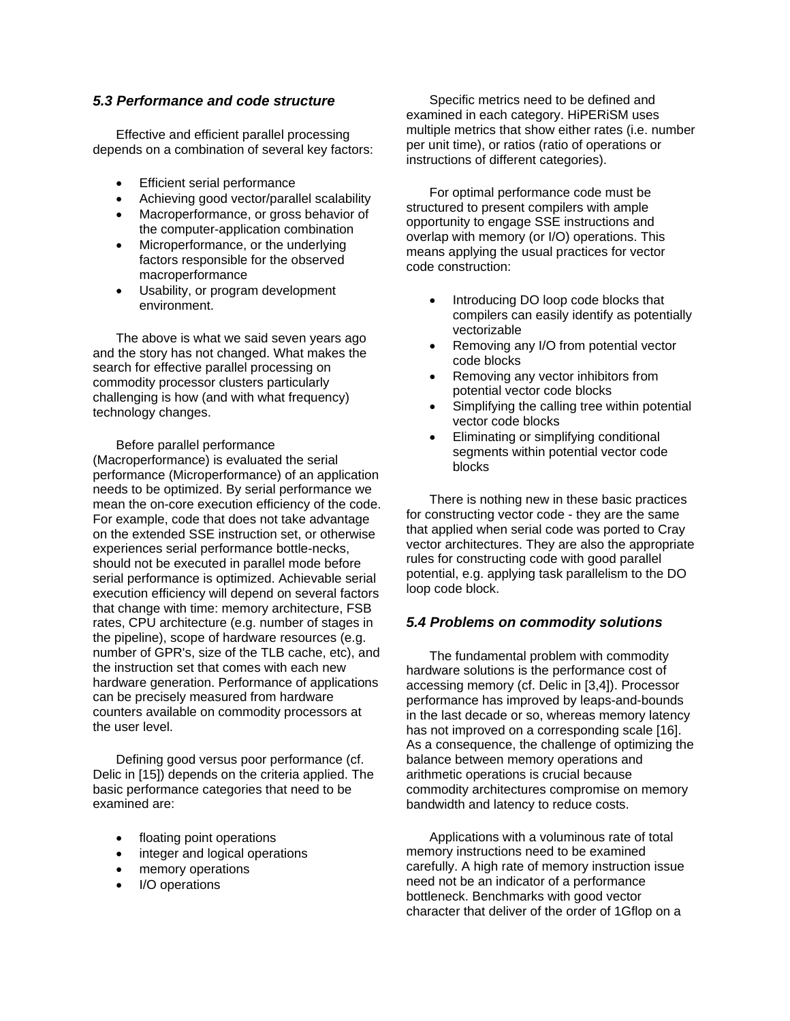#### *5.3 Performance and code structure*

Effective and efficient parallel processing depends on a combination of several key factors:

- **Efficient serial performance**
- Achieving good vector/parallel scalability
- Macroperformance, or gross behavior of the computer-application combination
- Microperformance, or the underlying factors responsible for the observed macroperformance
- Usability, or program development environment.

The above is what we said seven years ago and the story has not changed. What makes the search for effective parallel processing on commodity processor clusters particularly challenging is how (and with what frequency) technology changes.

Before parallel performance (Macroperformance) is evaluated the serial performance (Microperformance) of an application needs to be optimized. By serial performance we mean the on-core execution efficiency of the code. For example, code that does not take advantage on the extended SSE instruction set, or otherwise experiences serial performance bottle-necks, should not be executed in parallel mode before serial performance is optimized. Achievable serial execution efficiency will depend on several factors that change with time: memory architecture, FSB rates, CPU architecture (e.g. number of stages in the pipeline), scope of hardware resources (e.g. number of GPR's, size of the TLB cache, etc), and the instruction set that comes with each new hardware generation. Performance of applications can be precisely measured from hardware counters available on commodity processors at the user level.

Defining good versus poor performance (cf. Delic in [15]) depends on the criteria applied. The basic performance categories that need to be examined are:

- floating point operations
- integer and logical operations
- memory operations
- I/O operations

Specific metrics need to be defined and examined in each category. HiPERiSM uses multiple metrics that show either rates (i.e. number per unit time), or ratios (ratio of operations or instructions of different categories).

For optimal performance code must be structured to present compilers with ample opportunity to engage SSE instructions and overlap with memory (or I/O) operations. This means applying the usual practices for vector code construction:

- Introducing DO loop code blocks that compilers can easily identify as potentially vectorizable
- Removing any I/O from potential vector code blocks
- Removing any vector inhibitors from potential vector code blocks
- Simplifying the calling tree within potential vector code blocks
- Eliminating or simplifying conditional segments within potential vector code blocks

There is nothing new in these basic practices for constructing vector code - they are the same that applied when serial code was ported to Cray vector architectures. They are also the appropriate rules for constructing code with good parallel potential, e.g. applying task parallelism to the DO loop code block.

## *5.4 Problems on commodity solutions*

The fundamental problem with commodity hardware solutions is the performance cost of accessing memory (cf. Delic in [3,4]). Processor performance has improved by leaps-and-bounds in the last decade or so, whereas memory latency has not improved on a corresponding scale [16]. As a consequence, the challenge of optimizing the balance between memory operations and arithmetic operations is crucial because commodity architectures compromise on memory bandwidth and latency to reduce costs.

Applications with a voluminous rate of total memory instructions need to be examined carefully. A high rate of memory instruction issue need not be an indicator of a performance bottleneck. Benchmarks with good vector character that deliver of the order of 1Gflop on a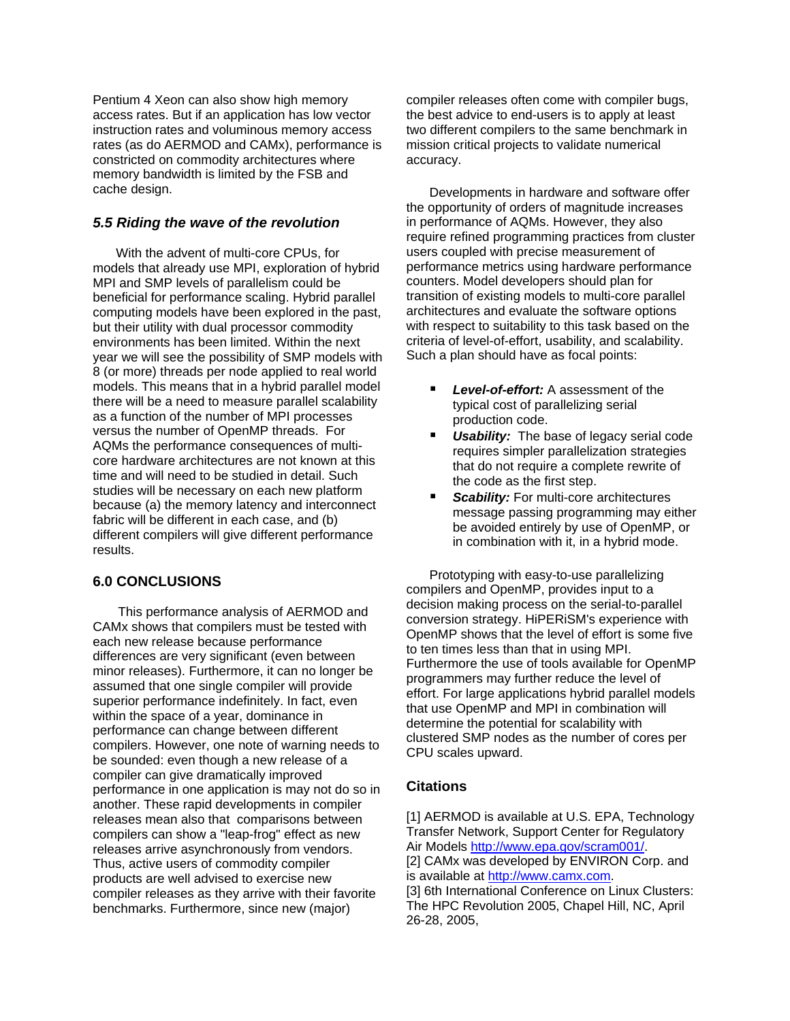Pentium 4 Xeon can also show high memory access rates. But if an application has low vector instruction rates and voluminous memory access rates (as do AERMOD and CAMx), performance is constricted on commodity architectures where memory bandwidth is limited by the FSB and cache design.

## *5.5 Riding the wave of the revolution*

With the advent of multi-core CPUs, for models that already use MPI, exploration of hybrid MPI and SMP levels of parallelism could be beneficial for performance scaling. Hybrid parallel computing models have been explored in the past, but their utility with dual processor commodity environments has been limited. Within the next year we will see the possibility of SMP models with 8 (or more) threads per node applied to real world models. This means that in a hybrid parallel model there will be a need to measure parallel scalability as a function of the number of MPI processes versus the number of OpenMP threads. For AQMs the performance consequences of multicore hardware architectures are not known at this time and will need to be studied in detail. Such studies will be necessary on each new platform because (a) the memory latency and interconnect fabric will be different in each case, and (b) different compilers will give different performance results.

## **6.0 CONCLUSIONS**

This performance analysis of AERMOD and CAMx shows that compilers must be tested with each new release because performance differences are very significant (even between minor releases). Furthermore, it can no longer be assumed that one single compiler will provide superior performance indefinitely. In fact, even within the space of a year, dominance in performance can change between different compilers. However, one note of warning needs to be sounded: even though a new release of a compiler can give dramatically improved performance in one application is may not do so in another. These rapid developments in compiler releases mean also that comparisons between compilers can show a "leap-frog" effect as new releases arrive asynchronously from vendors. Thus, active users of commodity compiler products are well advised to exercise new compiler releases as they arrive with their favorite benchmarks. Furthermore, since new (major)

compiler releases often come with compiler bugs, the best advice to end-users is to apply at least two different compilers to the same benchmark in mission critical projects to validate numerical accuracy.

Developments in hardware and software offer the opportunity of orders of magnitude increases in performance of AQMs. However, they also require refined programming practices from cluster users coupled with precise measurement of performance metrics using hardware performance counters. Model developers should plan for transition of existing models to multi-core parallel architectures and evaluate the software options with respect to suitability to this task based on the criteria of level-of-effort, usability, and scalability. Such a plan should have as focal points:

- *Level-of-effort:* A assessment of the typical cost of parallelizing serial production code.
- *Usability:* The base of legacy serial code requires simpler parallelization strategies that do not require a complete rewrite of the code as the first step.
- **Scability:** For multi-core architectures message passing programming may either be avoided entirely by use of OpenMP, or in combination with it, in a hybrid mode.

Prototyping with easy-to-use parallelizing compilers and OpenMP, provides input to a decision making process on the serial-to-parallel conversion strategy. HiPERiSM's experience with OpenMP shows that the level of effort is some five to ten times less than that in using MPI. Furthermore the use of tools available for OpenMP programmers may further reduce the level of effort. For large applications hybrid parallel models that use OpenMP and MPI in combination will determine the potential for scalability with clustered SMP nodes as the number of cores per CPU scales upward.

# **Citations**

26-28, 2005,

[1] AERMOD is available at U.S. EPA, Technology Transfer Network, Support Center for Regulatory Air Models [http://www.epa.gov/scram001/.](http://www.epa.gov/scram001/) [2] CAMx was developed by ENVIRON Corp. and is available at [http://www.camx.com](http://www.camx.com/). [3] 6th International Conference on Linux Clusters: The HPC Revolution 2005, Chapel Hill, NC, April